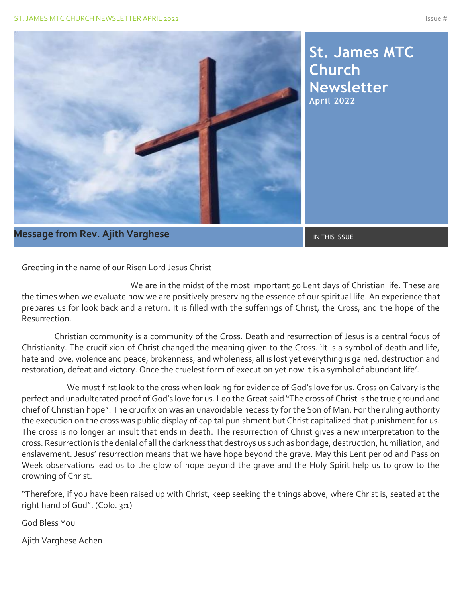

### **Message from Rev. Ajith Varghese** International Communist Communist Communist Communist Communist Communist Communist Communist Communist Communist Communist Communist Communist Communist Communist Communist Communist Com

Greeting in the name of our Risen Lord Jesus Christ

 We are in the midst of the most important 50 Lent days of Christian life. These are the times when we evaluate how we are positively preserving the essence of our spiritual life. An experience that prepares us for look back and a return. It is filled with the sufferings of Christ, the Cross, and the hope of the Resurrection.

 Christian community is a community of the Cross. Death and resurrection of Jesus is a central focus of Christianity. The crucifixion of Christ changed the meaning given to the Cross. 'It is a symbol of death and life, hate and love, violence and peace, brokenness, and wholeness, all is lost yet everything is gained, destruction and restoration, defeat and victory. Once the cruelest form of execution yet now it is a symbol of abundant life'.

 We must first look to the cross when looking for evidence of God's love for us. Cross on Calvary is the perfect and unadulterated proof of God's love for us. Leo the Great said "The cross of Christ is the true ground and chief of Christian hope". The crucifixion was an unavoidable necessity for the Son of Man. For the ruling authority the execution on the cross was public display of capital punishment but Christ capitalized that punishment for us. The cross is no longer an insult that ends in death. The resurrection of Christ gives a new interpretation to the cross. Resurrection is the denial of all the darkness that destroys us such as bondage, destruction, humiliation, and enslavement. Jesus' resurrection means that we have hope beyond the grave. May this Lent period and Passion Week observations lead us to the glow of hope beyond the grave and the Holy Spirit help us to grow to the crowning of Christ.

"Therefore, if you have been raised up with Christ, keep seeking the things above, where Christ is, seated at the right hand of God". (Colo. 3:1)

God Bless You

Ajith Varghese Achen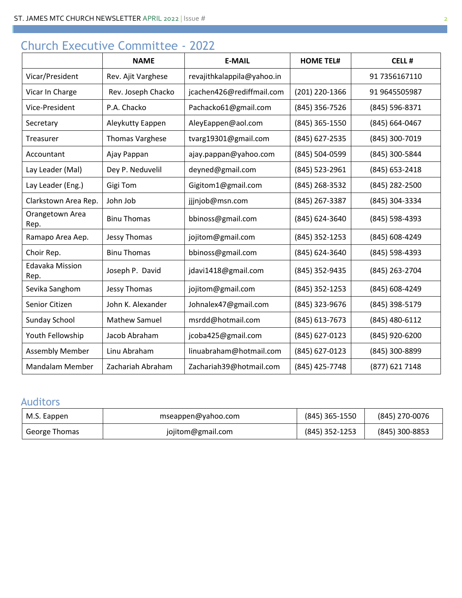# Church Executive Committee - 2022

|                                | <b>NAME</b>            | <b>E-MAIL</b>              | <b>HOME TEL#</b> | <b>CELL#</b>   |
|--------------------------------|------------------------|----------------------------|------------------|----------------|
| Vicar/President                | Rev. Ajit Varghese     | revajithkalappila@yahoo.in |                  | 91 7356167110  |
| Vicar In Charge                | Rev. Joseph Chacko     | jcachen426@rediffmail.com  | (201) 220-1366   | 91 9645505987  |
| Vice-President                 | P.A. Chacko            | Pachacko61@gmail.com       | (845) 356-7526   | (845) 596-8371 |
| Secretary                      | Aleykutty Eappen       | AleyEappen@aol.com         | (845) 365-1550   | (845) 664-0467 |
| Treasurer                      | <b>Thomas Varghese</b> | tvarg19301@gmail.com       | (845) 627-2535   | (845) 300-7019 |
| Accountant                     | Ajay Pappan            | ajay.pappan@yahoo.com      | (845) 504-0599   | (845) 300-5844 |
| Lay Leader (Mal)               | Dey P. Neduvelil       | deyned@gmail.com           | (845) 523-2961   | (845) 653-2418 |
| Lay Leader (Eng.)              | Gigi Tom               | Gigitom1@gmail.com         | (845) 268-3532   | (845) 282-2500 |
| Clarkstown Area Rep.           | John Job               | jjjnjob@msn.com            | (845) 267-3387   | (845) 304-3334 |
| Orangetown Area<br>Rep.        | <b>Binu Thomas</b>     | bbinoss@gmail.com          | (845) 624-3640   | (845) 598-4393 |
| Ramapo Area Aep.               | Jessy Thomas           | jojitom@gmail.com          | (845) 352-1253   | (845) 608-4249 |
| Choir Rep.                     | <b>Binu Thomas</b>     | bbinoss@gmail.com          | (845) 624-3640   | (845) 598-4393 |
| <b>Edavaka Mission</b><br>Rep. | Joseph P. David        | jdavi1418@gmail.com        | (845) 352-9435   | (845) 263-2704 |
| Sevika Sanghom                 | Jessy Thomas           | jojitom@gmail.com          | (845) 352-1253   | (845) 608-4249 |
| Senior Citizen                 | John K. Alexander      | Johnalex47@gmail.com       | (845) 323-9676   | (845) 398-5179 |
| Sunday School                  | <b>Mathew Samuel</b>   | msrdd@hotmail.com          | (845) 613-7673   | (845) 480-6112 |
| Youth Fellowship               | Jacob Abraham          | jcoba425@gmail.com         | (845) 627-0123   | (845) 920-6200 |
| <b>Assembly Member</b>         | Linu Abraham           | linuabraham@hotmail.com    | (845) 627-0123   | (845) 300-8899 |
| <b>Mandalam Member</b>         | Zachariah Abraham      | Zachariah39@hotmail.com    | (845) 425-7748   | (877) 621 7148 |

### Auditors

| M.S. Eappen   | mseappen@yahoo.com | (845) 365-1550   | (845) 270-0076 |
|---------------|--------------------|------------------|----------------|
| George Thomas | jojitom@gmail.com  | $(845)$ 352-1253 | (845) 300-8853 |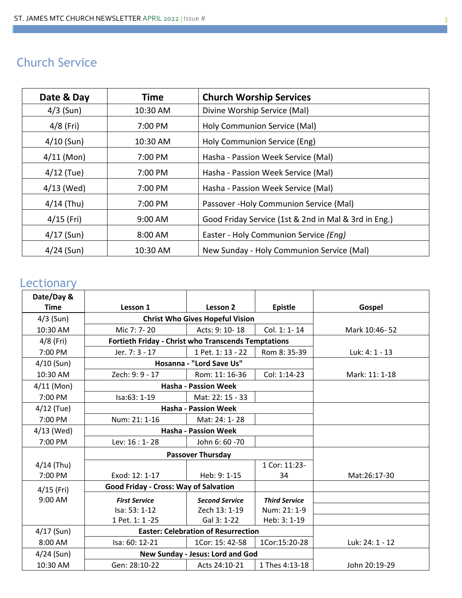# Church Service

| Date & Day   | <b>Time</b> | <b>Church Worship Services</b>                       |  |
|--------------|-------------|------------------------------------------------------|--|
| $4/3$ (Sun)  | 10:30 AM    | Divine Worship Service (Mal)                         |  |
| $4/8$ (Fri)  | 7:00 PM     | Holy Communion Service (Mal)                         |  |
| $4/10$ (Sun) | 10:30 AM    | Holy Communion Service (Eng)                         |  |
| $4/11$ (Mon) | 7:00 PM     | Hasha - Passion Week Service (Mal)                   |  |
| $4/12$ (Tue) | 7:00 PM     | Hasha - Passion Week Service (Mal)                   |  |
| $4/13$ (Wed) | 7:00 PM     | Hasha - Passion Week Service (Mal)                   |  |
| $4/14$ (Thu) | 7:00 PM     | Passover - Holy Communion Service (Mal)              |  |
| $4/15$ (Fri) | 9:00 AM     | Good Friday Service (1st & 2nd in Mal & 3rd in Eng.) |  |
| $4/17$ (Sun) | 8:00 AM     | Easter - Holy Communion Service (Eng)                |  |
| $4/24$ (Sun) | 10:30 AM    | New Sunday - Holy Communion Service (Mal)            |  |

### **Lectionary**

| Date/Day &   |                                                            |                                        |                      |                 |
|--------------|------------------------------------------------------------|----------------------------------------|----------------------|-----------------|
| <b>Time</b>  | Lesson 1                                                   | Lesson 2                               | <b>Epistle</b>       | Gospel          |
| $4/3$ (Sun)  |                                                            | <b>Christ Who Gives Hopeful Vision</b> |                      |                 |
| 10:30 AM     | Mic $7:7-20$                                               | Acts: 9: 10-18                         | Col. 1: 1-14         | Mark 10:46-52   |
| $4/8$ (Fri)  | <b>Fortieth Friday - Christ who Transcends Temptations</b> |                                        |                      |                 |
| 7:00 PM      | Jer. 7: 3 - 17                                             | 1 Pet. 1: 13 - 22                      | Rom 8: 35-39         | Luk: 4: 1 - 13  |
| $4/10$ (Sun) |                                                            | Hosanna - "Lord Save Us"               |                      |                 |
| 10:30 AM     | Zech: 9: 9 - 17                                            | Rom: 11: 16-36                         | Col: 1:14-23         | Mark: 11: 1-18  |
| $4/11$ (Mon) | <b>Hasha - Passion Week</b>                                |                                        |                      |                 |
| 7:00 PM      | $Isa:63:1-19$                                              | Mat: 22: 15 - 33                       |                      |                 |
| $4/12$ (Tue) | <b>Hasha - Passion Week</b>                                |                                        |                      |                 |
| 7:00 PM      | Num: 21: 1-16                                              | Mat: 24: 1-28                          |                      |                 |
| $4/13$ (Wed) |                                                            | <b>Hasha - Passion Week</b>            |                      |                 |
| 7:00 PM      | Lev: 16 : 1-28                                             | John 6: 60 -70                         |                      |                 |
|              | <b>Passover Thursday</b>                                   |                                        |                      |                 |
| $4/14$ (Thu) |                                                            |                                        | 1 Cor: 11:23-        |                 |
| 7:00 PM      | Exod: 12: 1-17                                             | Heb: 9: 1-15                           | 34                   | Mat:26:17-30    |
| $4/15$ (Fri) | <b>Good Friday - Cross: Way of Salvation</b>               |                                        |                      |                 |
| 9:00 AM      | <b>First Service</b>                                       | <b>Second Service</b>                  | <b>Third Service</b> |                 |
|              | Isa: 53: 1-12                                              | Zech 13: 1-19                          | Num: 21: 1-9         |                 |
|              | 1 Pet. 1: 1 -25                                            | Gal 3: 1-22                            | Heb: 3: 1-19         |                 |
| $4/17$ (Sun) | <b>Easter: Celebration of Resurrection</b>                 |                                        |                      |                 |
| 8:00 AM      | Isa: 60: 12-21                                             | 1Cor: 15: 42-58                        | 1Cor:15:20-28        | Luk: 24: 1 - 12 |
| $4/24$ (Sun) |                                                            | New Sunday - Jesus: Lord and God       |                      |                 |
| 10:30 AM     | Gen: 28:10-22                                              | Acts 24:10-21                          | 1 Thes 4:13-18       | John 20:19-29   |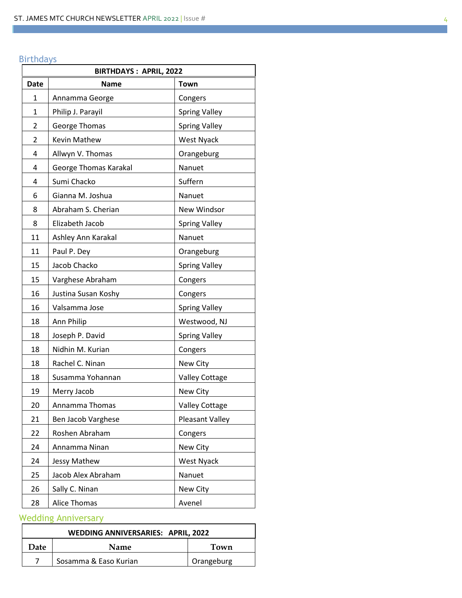#### Birthdays

| <b>BIRTHDAYS: APRIL, 2022</b> |                       |                        |  |
|-------------------------------|-----------------------|------------------------|--|
| <b>Date</b>                   | <b>Name</b>           | Town                   |  |
| 1                             | Annamma George        | Congers                |  |
| 1                             | Philip J. Parayil     | <b>Spring Valley</b>   |  |
| 2                             | George Thomas         | <b>Spring Valley</b>   |  |
| 2                             | Kevin Mathew          | <b>West Nyack</b>      |  |
| 4                             | Allwyn V. Thomas      | Orangeburg             |  |
| 4                             | George Thomas Karakal | Nanuet                 |  |
| 4                             | Sumi Chacko           | Suffern                |  |
| 6                             | Gianna M. Joshua      | Nanuet                 |  |
| 8                             | Abraham S. Cherian    | New Windsor            |  |
| 8                             | Elizabeth Jacob       | <b>Spring Valley</b>   |  |
| 11                            | Ashley Ann Karakal    | Nanuet                 |  |
| 11                            | Paul P. Dey           | Orangeburg             |  |
| 15                            | Jacob Chacko          | <b>Spring Valley</b>   |  |
| 15                            | Varghese Abraham      | Congers                |  |
| 16                            | Justina Susan Koshy   | Congers                |  |
| 16                            | Valsamma Jose         | <b>Spring Valley</b>   |  |
| 18                            | Ann Philip            | Westwood, NJ           |  |
| 18                            | Joseph P. David       | <b>Spring Valley</b>   |  |
| 18                            | Nidhin M. Kurian      | Congers                |  |
| 18                            | Rachel C. Ninan       | New City               |  |
| 18                            | Susamma Yohannan      | <b>Valley Cottage</b>  |  |
| 19                            | Merry Jacob           | New City               |  |
| 20                            | Annamma Thomas        | <b>Valley Cottage</b>  |  |
| 21                            | Ben Jacob Varghese    | <b>Pleasant Valley</b> |  |
| 22                            | Roshen Abraham        | Congers                |  |
| 24                            | Annamma Ninan         | New City               |  |
| 24                            | Jessy Mathew          | West Nyack             |  |
| 25                            | Jacob Alex Abraham    | Nanuet                 |  |
| 26                            | Sally C. Ninan        | New City               |  |
| 28                            | Alice Thomas          | Avenel                 |  |

### Wedding Anniversary

| <b>WEDDING ANNIVERSARIES: APRIL, 2022</b> |                       |            |  |
|-------------------------------------------|-----------------------|------------|--|
| Date                                      | <b>Name</b>           | Town       |  |
|                                           | Sosamma & Easo Kurian | Orangeburg |  |